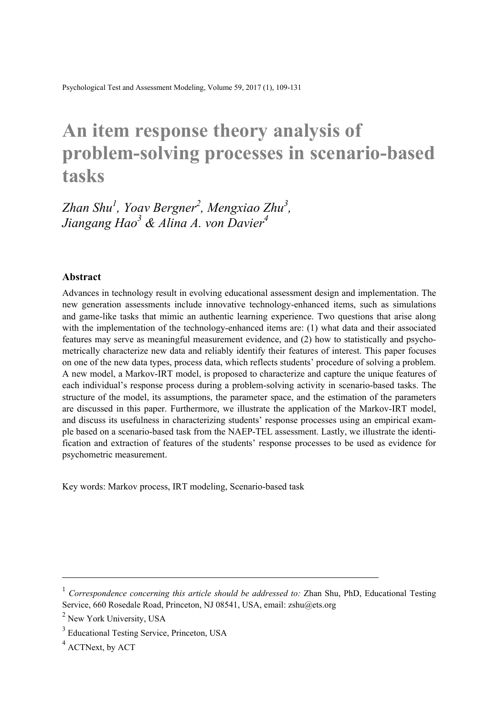# **An item response theory analysis of problem-solving processes in scenario-based tasks**

*Zhan Shu<sup>1</sup> , Yoav Bergner2 , Mengxiao Zhu<sup>3</sup> , Jiangang Hao<sup>3</sup> & Alina A. von Davier4*

## **Abstract**

Advances in technology result in evolving educational assessment design and implementation. The new generation assessments include innovative technology-enhanced items, such as simulations and game-like tasks that mimic an authentic learning experience. Two questions that arise along with the implementation of the technology-enhanced items are: (1) what data and their associated features may serve as meaningful measurement evidence, and (2) how to statistically and psychometrically characterize new data and reliably identify their features of interest. This paper focuses on one of the new data types, process data, which reflects students' procedure of solving a problem. A new model, a Markov-IRT model, is proposed to characterize and capture the unique features of each individual's response process during a problem-solving activity in scenario-based tasks. The structure of the model, its assumptions, the parameter space, and the estimation of the parameters are discussed in this paper. Furthermore, we illustrate the application of the Markov-IRT model, and discuss its usefulness in characterizing students' response processes using an empirical example based on a scenario-based task from the NAEP-TEL assessment. Lastly, we illustrate the identification and extraction of features of the students' response processes to be used as evidence for psychometric measurement.

Key words: Markov process, IRT modeling, Scenario-based task

l

<sup>&</sup>lt;sup>1</sup> *Correspondence concerning this article should be addressed to: Zhan Shu, PhD, Educational Testing* Service, 660 Rosedale Road, Princeton, NJ 08541, USA, email: zshu@ets.org

<sup>&</sup>lt;sup>2</sup> New York University, USA

<sup>&</sup>lt;sup>3</sup> Educational Testing Service, Princeton, USA

<sup>4</sup> ACTNext, by ACT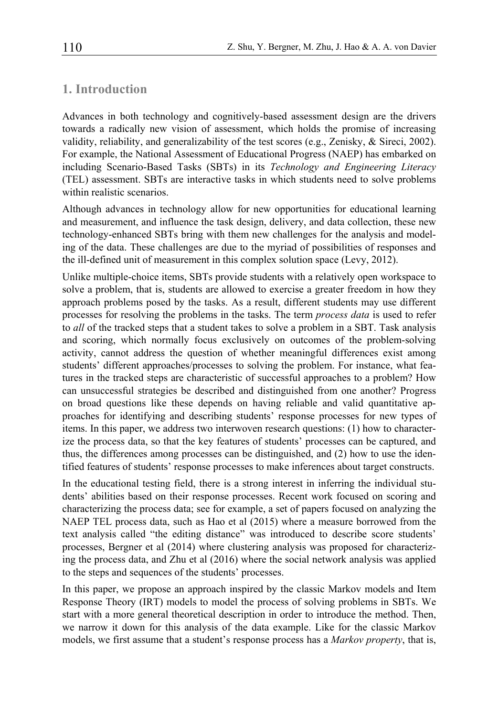## **1. Introduction**

Advances in both technology and cognitively-based assessment design are the drivers towards a radically new vision of assessment, which holds the promise of increasing validity, reliability, and generalizability of the test scores (e.g., Zenisky, & Sireci, 2002). For example, the National Assessment of Educational Progress (NAEP) has embarked on including Scenario-Based Tasks (SBTs) in its *Technology and Engineering Literacy* (TEL) assessment. SBTs are interactive tasks in which students need to solve problems within realistic scenarios.

Although advances in technology allow for new opportunities for educational learning and measurement, and influence the task design, delivery, and data collection, these new technology-enhanced SBTs bring with them new challenges for the analysis and modeling of the data. These challenges are due to the myriad of possibilities of responses and the ill-defined unit of measurement in this complex solution space (Levy, 2012).

Unlike multiple-choice items, SBTs provide students with a relatively open workspace to solve a problem, that is, students are allowed to exercise a greater freedom in how they approach problems posed by the tasks. As a result, different students may use different processes for resolving the problems in the tasks. The term *process data* is used to refer to *all* of the tracked steps that a student takes to solve a problem in a SBT. Task analysis and scoring, which normally focus exclusively on outcomes of the problem-solving activity, cannot address the question of whether meaningful differences exist among students' different approaches/processes to solving the problem. For instance, what features in the tracked steps are characteristic of successful approaches to a problem? How can unsuccessful strategies be described and distinguished from one another? Progress on broad questions like these depends on having reliable and valid quantitative approaches for identifying and describing students' response processes for new types of items. In this paper, we address two interwoven research questions: (1) how to characterize the process data, so that the key features of students' processes can be captured, and thus, the differences among processes can be distinguished, and (2) how to use the identified features of students' response processes to make inferences about target constructs.

In the educational testing field, there is a strong interest in inferring the individual students' abilities based on their response processes. Recent work focused on scoring and characterizing the process data; see for example, a set of papers focused on analyzing the NAEP TEL process data, such as Hao et al (2015) where a measure borrowed from the text analysis called "the editing distance" was introduced to describe score students' processes, Bergner et al (2014) where clustering analysis was proposed for characterizing the process data, and Zhu et al (2016) where the social network analysis was applied to the steps and sequences of the students' processes.

In this paper, we propose an approach inspired by the classic Markov models and Item Response Theory (IRT) models to model the process of solving problems in SBTs. We start with a more general theoretical description in order to introduce the method. Then, we narrow it down for this analysis of the data example. Like for the classic Markov models, we first assume that a student's response process has a *Markov property*, that is,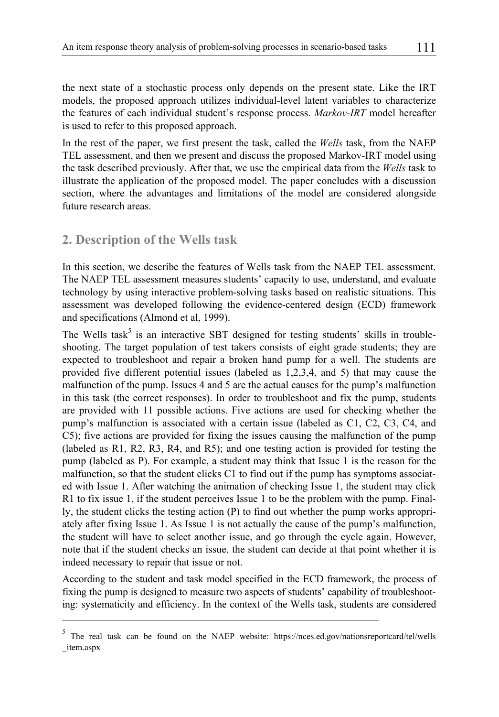the next state of a stochastic process only depends on the present state. Like the IRT models, the proposed approach utilizes individual-level latent variables to characterize the features of each individual student's response process. *Markov-IRT* model hereafter is used to refer to this proposed approach.

In the rest of the paper, we first present the task, called the *Wells* task, from the NAEP TEL assessment, and then we present and discuss the proposed Markov-IRT model using the task described previously. After that, we use the empirical data from the *Wells* task to illustrate the application of the proposed model. The paper concludes with a discussion section, where the advantages and limitations of the model are considered alongside future research areas.

## **2. Description of the Wells task**

 $\overline{a}$ 

In this section, we describe the features of Wells task from the NAEP TEL assessment. The NAEP TEL assessment measures students' capacity to use, understand, and evaluate technology by using interactive problem-solving tasks based on realistic situations. This assessment was developed following the evidence-centered design (ECD) framework and specifications (Almond et al, 1999).

The Wells task<sup>5</sup> is an interactive SBT designed for testing students' skills in troubleshooting. The target population of test takers consists of eight grade students; they are expected to troubleshoot and repair a broken hand pump for a well. The students are provided five different potential issues (labeled as 1,2,3,4, and 5) that may cause the malfunction of the pump. Issues 4 and 5 are the actual causes for the pump's malfunction in this task (the correct responses). In order to troubleshoot and fix the pump, students are provided with 11 possible actions. Five actions are used for checking whether the pump's malfunction is associated with a certain issue (labeled as C1, C2, C3, C4, and C5); five actions are provided for fixing the issues causing the malfunction of the pump (labeled as R1, R2, R3, R4, and R5); and one testing action is provided for testing the pump (labeled as P). For example, a student may think that Issue 1 is the reason for the malfunction, so that the student clicks C1 to find out if the pump has symptoms associated with Issue 1. After watching the animation of checking Issue 1, the student may click R1 to fix issue 1, if the student perceives Issue 1 to be the problem with the pump. Finally, the student clicks the testing action (P) to find out whether the pump works appropriately after fixing Issue 1. As Issue 1 is not actually the cause of the pump's malfunction, the student will have to select another issue, and go through the cycle again. However, note that if the student checks an issue, the student can decide at that point whether it is indeed necessary to repair that issue or not.

According to the student and task model specified in the ECD framework, the process of fixing the pump is designed to measure two aspects of students' capability of troubleshooting: systematicity and efficiency. In the context of the Wells task, students are considered

<sup>&</sup>lt;sup>5</sup> The real task can be found on the NAEP website: https://nces.ed.gov/nationsreportcard/tel/wells \_item.aspx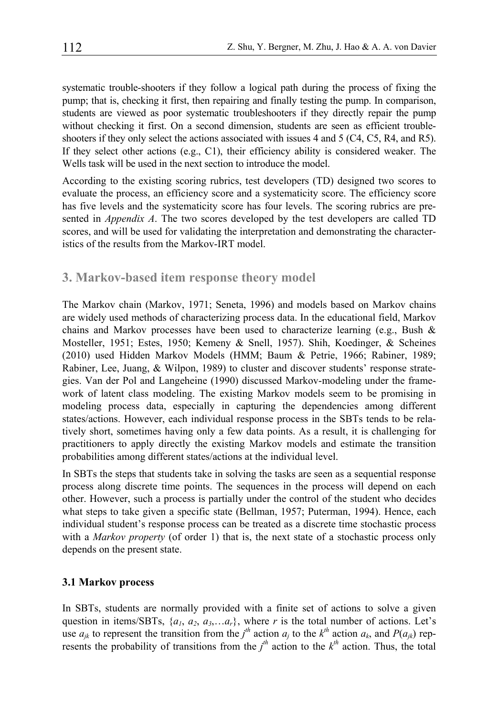systematic trouble-shooters if they follow a logical path during the process of fixing the pump; that is, checking it first, then repairing and finally testing the pump. In comparison, students are viewed as poor systematic troubleshooters if they directly repair the pump without checking it first. On a second dimension, students are seen as efficient troubleshooters if they only select the actions associated with issues 4 and 5 (C4, C5, R4, and R5). If they select other actions (e.g., C1), their efficiency ability is considered weaker. The Wells task will be used in the next section to introduce the model.

According to the existing scoring rubrics, test developers (TD) designed two scores to evaluate the process, an efficiency score and a systematicity score. The efficiency score has five levels and the systematicity score has four levels. The scoring rubrics are presented in *Appendix A*. The two scores developed by the test developers are called TD scores, and will be used for validating the interpretation and demonstrating the characteristics of the results from the Markov-IRT model.

## **3. Markov-based item response theory model**

The Markov chain (Markov, 1971; Seneta, 1996) and models based on Markov chains are widely used methods of characterizing process data. In the educational field, Markov chains and Markov processes have been used to characterize learning (e.g., Bush  $\&$ Mosteller, 1951; Estes, 1950; Kemeny & Snell, 1957). Shih, Koedinger, & Scheines (2010) used Hidden Markov Models (HMM; Baum & Petrie, 1966; Rabiner, 1989; Rabiner, Lee, Juang, & Wilpon, 1989) to cluster and discover students' response strategies. Van der Pol and Langeheine (1990) discussed Markov-modeling under the framework of latent class modeling. The existing Markov models seem to be promising in modeling process data, especially in capturing the dependencies among different states/actions. However, each individual response process in the SBTs tends to be relatively short, sometimes having only a few data points. As a result, it is challenging for practitioners to apply directly the existing Markov models and estimate the transition probabilities among different states/actions at the individual level.

In SBTs the steps that students take in solving the tasks are seen as a sequential response process along discrete time points. The sequences in the process will depend on each other. However, such a process is partially under the control of the student who decides what steps to take given a specific state (Bellman, 1957; Puterman, 1994). Hence, each individual student's response process can be treated as a discrete time stochastic process with a *Markov property* (of order 1) that is, the next state of a stochastic process only depends on the present state.

## **3.1 Markov process**

In SBTs, students are normally provided with a finite set of actions to solve a given question in items/SBTs,  $\{a_1, a_2, a_3, \ldots a_r\}$ , where *r* is the total number of actions. Let's use  $a_{jk}$  to represent the transition from the *j*<sup>th</sup> action  $a_j$  to the  $k^{th}$  action  $a_k$ , and  $P(a_{jk})$  represents the probability of transitions from the  $j<sup>th</sup>$  action to the  $k<sup>th</sup>$  action. Thus, the total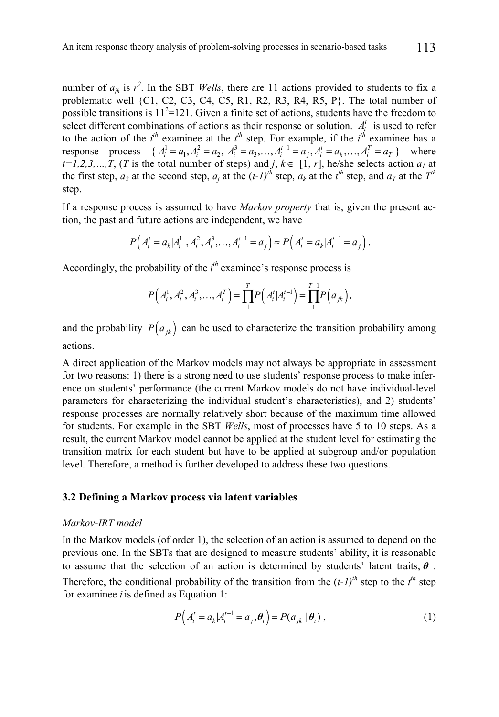number of  $a_{jk}$  is  $r^2$ . In the SBT *Wells*, there are 11 actions provided to students to fix a problematic well {C1, C2, C3, C4, C5, R1, R2, R3, R4, R5, P}. The total number of possible transitions is  $11^2$ =121. Given a finite set of actions, students have the freedom to select different combinations of actions as their response or solution.  $A_i^t$  is used to refer to the action of the  $i^h$  examinee at the  $i^h$  step. For example, if the  $i^h$  examinee has a response process { $A_i^1 = a_1, A_i^2 = a_2, A_i^3 = a_3, ..., A_i^{t-1} = a_j, A_i^t = a_k, ..., A_i^T = a_T$ } where  $t=1,2,3,...,T$ , (*T* is the total number of steps) and *j*,  $k \in [1, r]$ , he/she selects action  $a_1$  at the first step,  $a_2$  at the second step,  $a_j$  at the  $(t-1)^{th}$  step,  $a_k$  at the  $t^{th}$  step, and  $a_T$  at the  $T^h$ step.

If a response process is assumed to have *Markov property* that is, given the present action, the past and future actions are independent, we have

$$
P(A_i^t = a_k | A_i^1, A_i^2, A_i^3, \dots, A_i^{t-1} = a_j) \approx P(A_i^t = a_k | A_i^{t-1} = a_j).
$$

Accordingly, the probability of the  $i<sup>th</sup>$  examinee's response process is

$$
P(A_i^1, A_i^2, A_i^3, \ldots, A_i^T) = \prod_1^T P(A_i^t | A_i^{t-1}) = \prod_1^{T-1} P(a_{jk}),
$$

and the probability  $P(a_{ik})$  can be used to characterize the transition probability among actions.

A direct application of the Markov models may not always be appropriate in assessment for two reasons: 1) there is a strong need to use students' response process to make inference on students' performance (the current Markov models do not have individual-level parameters for characterizing the individual student's characteristics), and 2) students' response processes are normally relatively short because of the maximum time allowed for students. For example in the SBT *Wells*, most of processes have 5 to 10 steps. As a result, the current Markov model cannot be applied at the student level for estimating the transition matrix for each student but have to be applied at subgroup and/or population level. Therefore, a method is further developed to address these two questions.

#### **3.2 Defining a Markov process via latent variables**

### *Markov-IRT model*

In the Markov models (of order 1), the selection of an action is assumed to depend on the previous one. In the SBTs that are designed to measure students' ability, it is reasonable to assume that the selection of an action is determined by students' latent traits, *θ* . Therefore, the conditional probability of the transition from the  $(t-1)^{th}$  step to the  $t^{th}$  step for examinee *i* is defined as Equation 1:

$$
P(A_i^t = a_k | A_i^{t-1} = a_j, \theta_i) = P(a_{jk} | \theta_i),
$$
\n(1)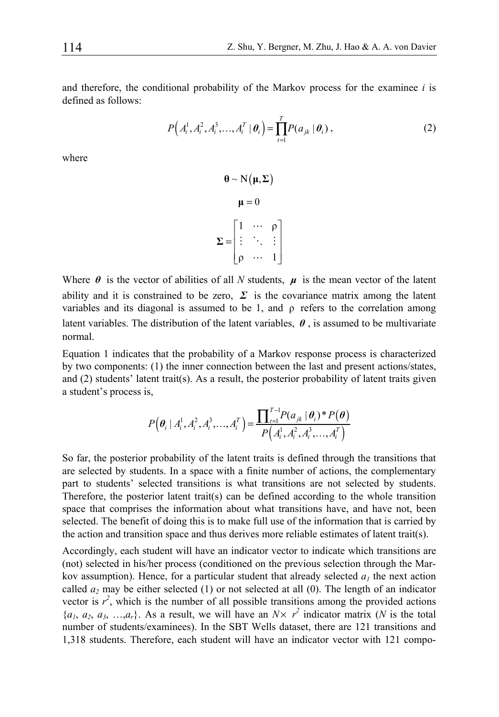and therefore, the conditional probability of the Markov process for the examinee *i* is defined as follows:

$$
P(A_i^1, A_i^2, A_i^3, \dots, A_i^T | \boldsymbol{\theta}_i) = \prod_{i=1}^T P(a_{jk} | \boldsymbol{\theta}_i),
$$
 (2)

where

$$
\theta \sim N(\mu, \Sigma)
$$

$$
\mu = 0
$$

$$
\Sigma = \begin{bmatrix} 1 & \cdots & \rho \\ \vdots & \ddots & \vdots \\ \rho & \cdots & 1 \end{bmatrix}
$$

Where  $\theta$  is the vector of abilities of all *N* students,  $\mu$  is the mean vector of the latent ability and it is constrained to be zero,  $\Sigma$  is the covariance matrix among the latent variables and its diagonal is assumed to be 1, and  $\rho$  refers to the correlation among latent variables. The distribution of the latent variables,  $\theta$ , is assumed to be multivariate normal.

Equation 1 indicates that the probability of a Markov response process is characterized by two components: (1) the inner connection between the last and present actions/states, and (2) students' latent trait(s). As a result, the posterior probability of latent traits given a student's process is,

$$
P(\theta_i | A_i^1, A_i^2, A_i^3, \dots, A_i^T) = \frac{\prod_{i=1}^{T-1} P(a_{jk} | \theta_i)^* P(\theta)}{P(A_i^1, A_i^2, A_i^3, \dots, A_i^T)}
$$

So far, the posterior probability of the latent traits is defined through the transitions that are selected by students. In a space with a finite number of actions, the complementary part to students' selected transitions is what transitions are not selected by students. Therefore, the posterior latent trait(s) can be defined according to the whole transition space that comprises the information about what transitions have, and have not, been selected. The benefit of doing this is to make full use of the information that is carried by the action and transition space and thus derives more reliable estimates of latent trait(s).

Accordingly, each student will have an indicator vector to indicate which transitions are (not) selected in his/her process (conditioned on the previous selection through the Markov assumption). Hence, for a particular student that already selected  $a<sub>l</sub>$  the next action called  $a_2$  may be either selected (1) or not selected at all (0). The length of an indicator vector is  $r^2$ , which is the number of all possible transitions among the provided actions  ${a_1, a_2, a_3, \ldots, a_r}$ . As a result, we will have an  $N \times r^2$  indicator matrix (*N* is the total number of students/examinees). In the SBT Wells dataset, there are 121 transitions and 1,318 students. Therefore, each student will have an indicator vector with 121 compo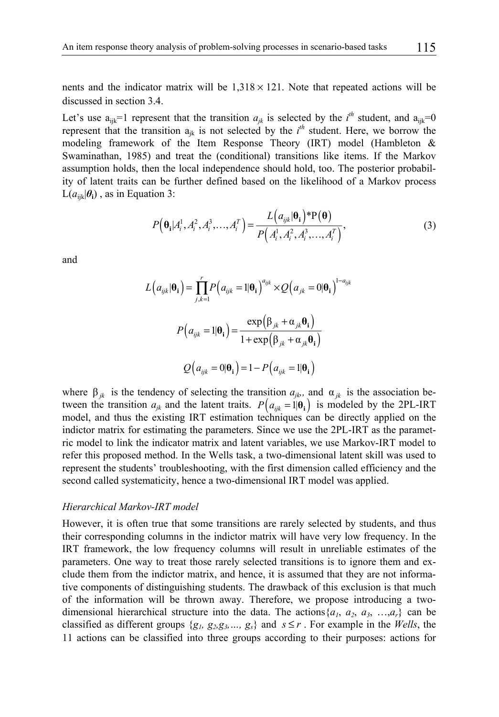nents and the indicator matrix will be  $1.318 \times 121$ . Note that repeated actions will be discussed in section 3.4.

Let's use  $a_{ijk}=1$  represent that the transition  $a_{jk}$  is selected by the *i*<sup>th</sup> student, and  $a_{ijk}=0$ represent that the transition  $a_{jk}$  is not selected by the  $i<sup>th</sup>$  student. Here, we borrow the modeling framework of the Item Response Theory (IRT) model (Hambleton & Swaminathan, 1985) and treat the (conditional) transitions like items. If the Markov assumption holds, then the local independence should hold, too. The posterior probability of latent traits can be further defined based on the likelihood of a Markov process  $L(a_{ijk}|\theta_i)$ , as in Equation 3:

$$
P(\theta_{i}|A_{i}^{1}, A_{i}^{2}, A_{i}^{3},..., A_{i}^{T}) = \frac{L(a_{ijk}|\theta_{i})^{*}P(\theta)}{P(A_{i}^{1}, A_{i}^{2}, A_{i}^{3},..., A_{i}^{T})},
$$
\n(3)

and

$$
L(a_{ijk}|\theta_i) = \prod_{j,k=1}^r P(a_{ijk} = 1|\theta_i)^{a_{ijk}} \times Q(a_{jk} = 0|\theta_i)^{1-a_{ijk}}
$$

$$
P(a_{ijk} = 1|\theta_i) = \frac{\exp(\beta_{jk} + \alpha_{jk}\theta_i)}{1 + \exp(\beta_{jk} + \alpha_{jk}\theta_i)}
$$

$$
Q(a_{ijk} = 0|\theta_i) = 1 - P(a_{ijk} = 1|\theta_i)
$$

where  $\beta_{ik}$  is the tendency of selecting the transition  $a_{jk}$ , and  $\alpha_{ik}$  is the association between the transition  $a_{jk}$  and the latent traits.  $P(a_{ijk} = 1|\theta_i)$  is modeled by the 2PL-IRT model, and thus the existing IRT estimation techniques can be directly applied on the indictor matrix for estimating the parameters. Since we use the 2PL-IRT as the parametric model to link the indicator matrix and latent variables, we use Markov-IRT model to refer this proposed method. In the Wells task, a two-dimensional latent skill was used to represent the students' troubleshooting, with the first dimension called efficiency and the second called systematicity, hence a two-dimensional IRT model was applied.

#### *Hierarchical Markov-IRT model*

However, it is often true that some transitions are rarely selected by students, and thus their corresponding columns in the indictor matrix will have very low frequency. In the IRT framework, the low frequency columns will result in unreliable estimates of the parameters. One way to treat those rarely selected transitions is to ignore them and exclude them from the indictor matrix, and hence, it is assumed that they are not informative components of distinguishing students. The drawback of this exclusion is that much of the information will be thrown away. Therefore, we propose introducing a twodimensional hierarchical structure into the data. The actions  $\{a_1, a_2, a_3, ..., a_r\}$  can be classified as different groups  $\{g_1, g_2, g_3, \dots, g_s\}$  and  $s \leq r$ . For example in the *Wells*, the 11 actions can be classified into three groups according to their purposes: actions for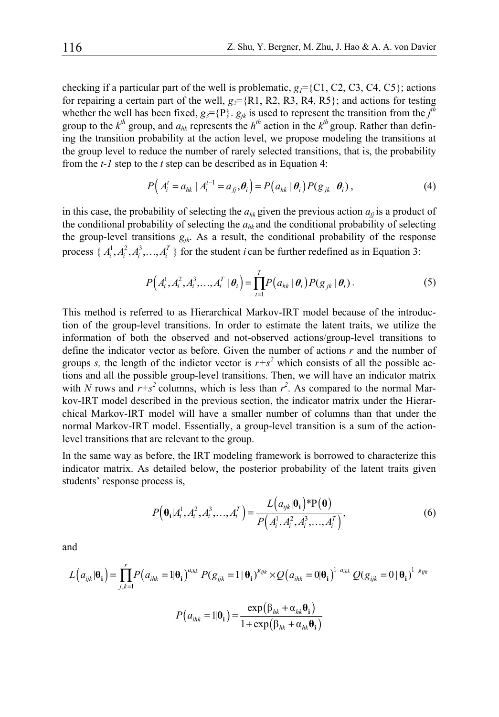checking if a particular part of the well is problematic,  $g_I = \{C_1, C_2, C_3, C_4, C_5\}$ ; actions for repairing a certain part of the well,  $g_2 = \{R1, R2, R3, R4, R5\}$ ; and actions for testing whether the well has been fixed,  $g_3 = {P}$ .  $g_k$  is used to represent the transition from the  $j^{\bar{h}}$ group to the  $k^{th}$  group, and  $a_{hk}$  represents the  $h^{th}$  action in the  $k^{th}$  group. Rather than defining the transition probability at the action level, we propose modeling the transitions at the group level to reduce the number of rarely selected transitions, that is, the probability from the *t-1* step to the *t* step can be described as in Equation 4:

$$
P\left(A_i^t = a_{hk} \mid A_i^{t-1} = a_{\hat{B}}, \theta_i\right) = P\left(a_{hk} \mid \theta_i\right) P(g_{jk} \mid \theta_i),\tag{4}
$$

in this case, the probability of selecting the  $a_{hk}$  given the previous action  $a_{fi}$  is a product of the conditional probability of selecting the *ahk* and the conditional probability of selecting the group-level transitions  $g_{jk}$ . As a result, the conditional probability of the response process  $\{A_i^1, A_i^2, A_i^3, \ldots, A_i^T\}$  for the student *i* can be further redefined as in Equation 3:

$$
P\left(A_i^1, A_i^2, A_i^3, \ldots, A_i^T \mid \boldsymbol{\theta}_i\right) = \prod_{i=1}^T P\left(a_{hk} \mid \boldsymbol{\theta}_i\right) P\left(\mathbf{g}_{jk} \mid \boldsymbol{\theta}_i\right). \tag{5}
$$

This method is referred to as Hierarchical Markov-IRT model because of the introduction of the group-level transitions. In order to estimate the latent traits, we utilize the information of both the observed and not-observed actions/group-level transitions to define the indicator vector as before. Given the number of actions *r* and the number of groups *s*, the length of the indictor vector is  $r+s^2$  which consists of all the possible actions and all the possible group-level transitions. Then, we will have an indicator matrix with *N* rows and  $r+s^2$  columns, which is less than  $r^2$ . As compared to the normal Markov-IRT model described in the previous section, the indicator matrix under the Hierarchical Markov-IRT model will have a smaller number of columns than that under the normal Markov-IRT model. Essentially, a group-level transition is a sum of the actionlevel transitions that are relevant to the group.

In the same way as before, the IRT modeling framework is borrowed to characterize this indicator matrix. As detailed below, the posterior probability of the latent traits given students' response process is,

$$
P(\mathbf{\theta}_{i} | A_{i}^{1}, A_{i}^{2}, A_{i}^{3},..., A_{i}^{T}) = \frac{L(a_{ijk}|\mathbf{\theta}_{i})^{*}P(\mathbf{\theta})}{P(A_{i}^{1}, A_{i}^{2}, A_{i}^{3},..., A_{i}^{T})},
$$
(6)

and

$$
L\left(a_{ijk}|\boldsymbol{\theta}_{i}\right) = \prod_{j,k=1}^{r} P\left(a_{ihk} = 1|\boldsymbol{\theta}_{i}\right)^{a_{ihk}} P(g_{ijk} = 1|\boldsymbol{\theta}_{i})^{g_{ijk}} \times Q\left(a_{ihk} = 0|\boldsymbol{\theta}_{i}\right)^{1-a_{ihk}} Q(g_{ijk} = 0|\boldsymbol{\theta}_{i})^{1-g_{ijk}}
$$

$$
P\left(a_{ihk} = 1|\boldsymbol{\theta}_{i}\right) = \frac{\exp\left(\beta_{hk} + \alpha_{hk}\boldsymbol{\theta}_{i}\right)}{1 + \exp\left(\beta_{hk} + \alpha_{hk}\boldsymbol{\theta}_{i}\right)}
$$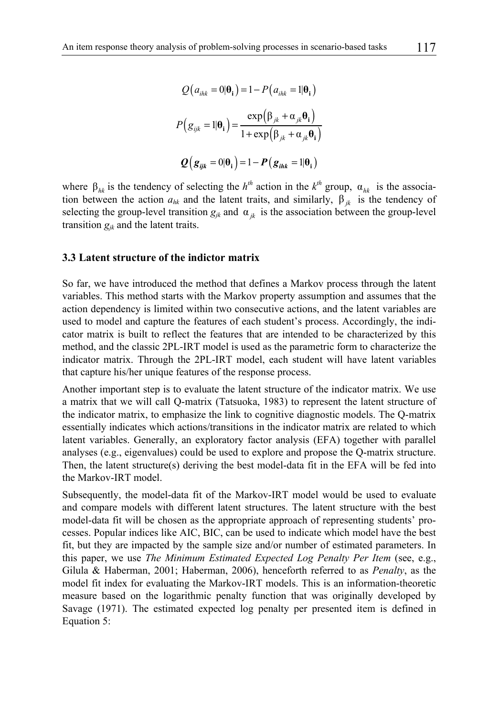$$
Q(a_{ihk} = 0|\mathbf{\theta_i}) = 1 - P(a_{ihk} = 1|\mathbf{\theta_i})
$$

$$
P(g_{ijk} = 1|\mathbf{\theta_i}) = \frac{\exp(\beta_{jk} + \alpha_{jk}\mathbf{\theta_i})}{1 + \exp(\beta_{jk} + \alpha_{jk}\mathbf{\theta_i})}
$$

$$
Q(g_{ijk} = 0|\mathbf{\theta_i}) = 1 - P(g_{ihk} = 1|\mathbf{\theta_i})
$$

where  $\beta_{hk}$  is the tendency of selecting the  $h^{th}$  action in the  $k^{th}$  group,  $\alpha_{hk}$  is the association between the action  $a_{hk}$  and the latent traits, and similarly,  $\beta_{ik}$  is the tendency of selecting the group-level transition  $g_{ik}$  and  $\alpha_{ik}$  is the association between the group-level transition *gjk* and the latent traits.

#### **3.3 Latent structure of the indictor matrix**

So far, we have introduced the method that defines a Markov process through the latent variables. This method starts with the Markov property assumption and assumes that the action dependency is limited within two consecutive actions, and the latent variables are used to model and capture the features of each student's process. Accordingly, the indicator matrix is built to reflect the features that are intended to be characterized by this method, and the classic 2PL-IRT model is used as the parametric form to characterize the indicator matrix. Through the 2PL-IRT model, each student will have latent variables that capture his/her unique features of the response process.

Another important step is to evaluate the latent structure of the indicator matrix. We use a matrix that we will call Q-matrix (Tatsuoka, 1983) to represent the latent structure of the indicator matrix, to emphasize the link to cognitive diagnostic models. The Q-matrix essentially indicates which actions/transitions in the indicator matrix are related to which latent variables. Generally, an exploratory factor analysis (EFA) together with parallel analyses (e.g., eigenvalues) could be used to explore and propose the Q-matrix structure. Then, the latent structure(s) deriving the best model-data fit in the EFA will be fed into the Markov-IRT model.

Subsequently, the model-data fit of the Markov-IRT model would be used to evaluate and compare models with different latent structures. The latent structure with the best model-data fit will be chosen as the appropriate approach of representing students' processes. Popular indices like AIC, BIC, can be used to indicate which model have the best fit, but they are impacted by the sample size and/or number of estimated parameters. In this paper, we use *The Minimum Estimated Expected Log Penalty Per Item* (see, e.g., Gilula & Haberman, 2001; Haberman, 2006), henceforth referred to as *Penalty*, as the model fit index for evaluating the Markov-IRT models. This is an information-theoretic measure based on the logarithmic penalty function that was originally developed by Savage (1971). The estimated expected log penalty per presented item is defined in Equation 5: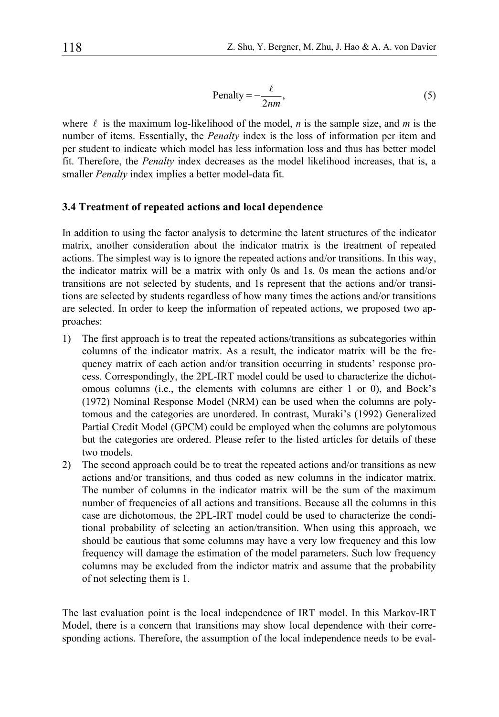$$
Penalty = -\frac{\ell}{2nm},\tag{5}
$$

where  $\ell$  is the maximum log-likelihood of the model, *n* is the sample size, and *m* is the number of items. Essentially, the *Penalty* index is the loss of information per item and per student to indicate which model has less information loss and thus has better model fit. Therefore, the *Penalty* index decreases as the model likelihood increases, that is, a smaller *Penalty* index implies a better model-data fit.

## **3.4 Treatment of repeated actions and local dependence**

In addition to using the factor analysis to determine the latent structures of the indicator matrix, another consideration about the indicator matrix is the treatment of repeated actions. The simplest way is to ignore the repeated actions and/or transitions. In this way, the indicator matrix will be a matrix with only 0s and 1s. 0s mean the actions and/or transitions are not selected by students, and 1s represent that the actions and/or transitions are selected by students regardless of how many times the actions and/or transitions are selected. In order to keep the information of repeated actions, we proposed two approaches:

- 1) The first approach is to treat the repeated actions/transitions as subcategories within columns of the indicator matrix. As a result, the indicator matrix will be the frequency matrix of each action and/or transition occurring in students' response process. Correspondingly, the 2PL-IRT model could be used to characterize the dichotomous columns (i.e., the elements with columns are either 1 or 0), and Bock's (1972) Nominal Response Model (NRM) can be used when the columns are polytomous and the categories are unordered. In contrast, Muraki's (1992) Generalized Partial Credit Model (GPCM) could be employed when the columns are polytomous but the categories are ordered. Please refer to the listed articles for details of these two models.
- 2) The second approach could be to treat the repeated actions and/or transitions as new actions and/or transitions, and thus coded as new columns in the indicator matrix. The number of columns in the indicator matrix will be the sum of the maximum number of frequencies of all actions and transitions. Because all the columns in this case are dichotomous, the 2PL-IRT model could be used to characterize the conditional probability of selecting an action/transition. When using this approach, we should be cautious that some columns may have a very low frequency and this low frequency will damage the estimation of the model parameters. Such low frequency columns may be excluded from the indictor matrix and assume that the probability of not selecting them is 1.

The last evaluation point is the local independence of IRT model. In this Markov-IRT Model, there is a concern that transitions may show local dependence with their corresponding actions. Therefore, the assumption of the local independence needs to be eval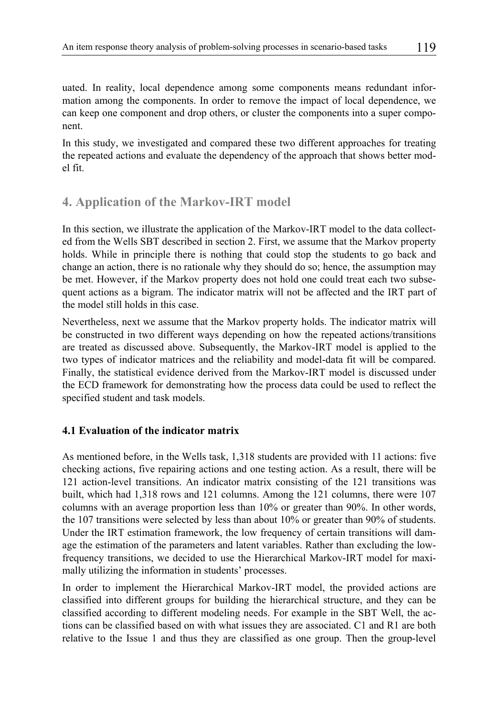uated. In reality, local dependence among some components means redundant information among the components. In order to remove the impact of local dependence, we can keep one component and drop others, or cluster the components into a super component.

In this study, we investigated and compared these two different approaches for treating the repeated actions and evaluate the dependency of the approach that shows better model fit.

# **4. Application of the Markov-IRT model**

In this section, we illustrate the application of the Markov-IRT model to the data collected from the Wells SBT described in section 2. First, we assume that the Markov property holds. While in principle there is nothing that could stop the students to go back and change an action, there is no rationale why they should do so; hence, the assumption may be met. However, if the Markov property does not hold one could treat each two subsequent actions as a bigram. The indicator matrix will not be affected and the IRT part of the model still holds in this case.

Nevertheless, next we assume that the Markov property holds. The indicator matrix will be constructed in two different ways depending on how the repeated actions/transitions are treated as discussed above. Subsequently, the Markov-IRT model is applied to the two types of indicator matrices and the reliability and model-data fit will be compared. Finally, the statistical evidence derived from the Markov-IRT model is discussed under the ECD framework for demonstrating how the process data could be used to reflect the specified student and task models.

## **4.1 Evaluation of the indicator matrix**

As mentioned before, in the Wells task, 1,318 students are provided with 11 actions: five checking actions, five repairing actions and one testing action. As a result, there will be 121 action-level transitions. An indicator matrix consisting of the 121 transitions was built, which had 1,318 rows and 121 columns. Among the 121 columns, there were 107 columns with an average proportion less than 10% or greater than 90%. In other words, the 107 transitions were selected by less than about 10% or greater than 90% of students. Under the IRT estimation framework, the low frequency of certain transitions will damage the estimation of the parameters and latent variables. Rather than excluding the lowfrequency transitions, we decided to use the Hierarchical Markov-IRT model for maximally utilizing the information in students' processes.

In order to implement the Hierarchical Markov-IRT model, the provided actions are classified into different groups for building the hierarchical structure, and they can be classified according to different modeling needs. For example in the SBT Well, the actions can be classified based on with what issues they are associated. C1 and R1 are both relative to the Issue 1 and thus they are classified as one group. Then the group-level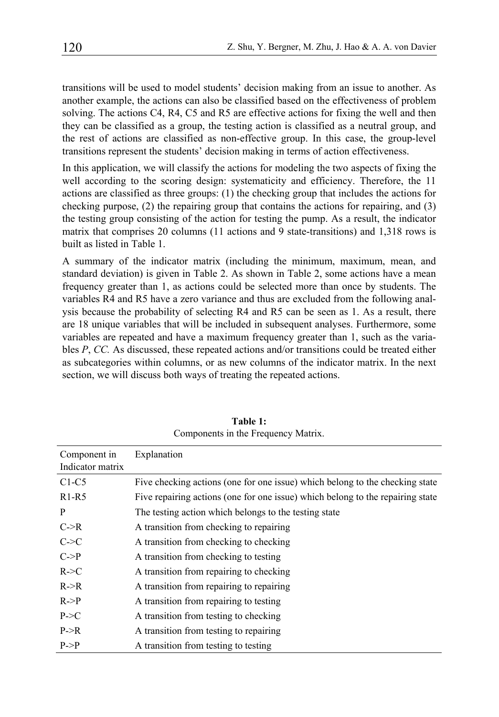transitions will be used to model students' decision making from an issue to another. As another example, the actions can also be classified based on the effectiveness of problem solving. The actions C4, R4, C5 and R5 are effective actions for fixing the well and then they can be classified as a group, the testing action is classified as a neutral group, and the rest of actions are classified as non-effective group. In this case, the group-level transitions represent the students' decision making in terms of action effectiveness.

In this application, we will classify the actions for modeling the two aspects of fixing the well according to the scoring design: systematicity and efficiency. Therefore, the 11 actions are classified as three groups: (1) the checking group that includes the actions for checking purpose, (2) the repairing group that contains the actions for repairing, and (3) the testing group consisting of the action for testing the pump. As a result, the indicator matrix that comprises 20 columns (11 actions and 9 state-transitions) and 1,318 rows is built as listed in Table 1.

A summary of the indicator matrix (including the minimum, maximum, mean, and standard deviation) is given in Table 2. As shown in Table 2, some actions have a mean frequency greater than 1, as actions could be selected more than once by students. The variables R4 and R5 have a zero variance and thus are excluded from the following analysis because the probability of selecting R4 and R5 can be seen as 1. As a result, there are 18 unique variables that will be included in subsequent analyses. Furthermore, some variables are repeated and have a maximum frequency greater than 1, such as the variables *P*, *CC.* As discussed, these repeated actions and/or transitions could be treated either as subcategories within columns, or as new columns of the indicator matrix. In the next section, we will discuss both ways of treating the repeated actions.

| Component in<br>Indicator matrix | Explanation                                                                    |
|----------------------------------|--------------------------------------------------------------------------------|
| $C1-C5$                          | Five checking actions (one for one issue) which belong to the checking state   |
| $R1-R5$                          | Five repairing actions (one for one issue) which belong to the repairing state |
| P                                | The testing action which belongs to the testing state                          |
| $C\rightarrow R$                 | A transition from checking to repairing                                        |
| $C \rightarrow C$                | A transition from checking to checking                                         |
| $C\rightarrow P$                 | A transition from checking to testing                                          |
| R > C                            | A transition from repairing to checking                                        |
| R > R                            | A transition from repairing to repairing                                       |
| $R \rightarrow P$                | A transition from repairing to testing                                         |
| P > C                            | A transition from testing to checking                                          |
| $P\rightarrow R$                 | A transition from testing to repairing                                         |
| $P->P$                           | A transition from testing to testing                                           |

**Table 1:**  Components in the Frequency Matrix.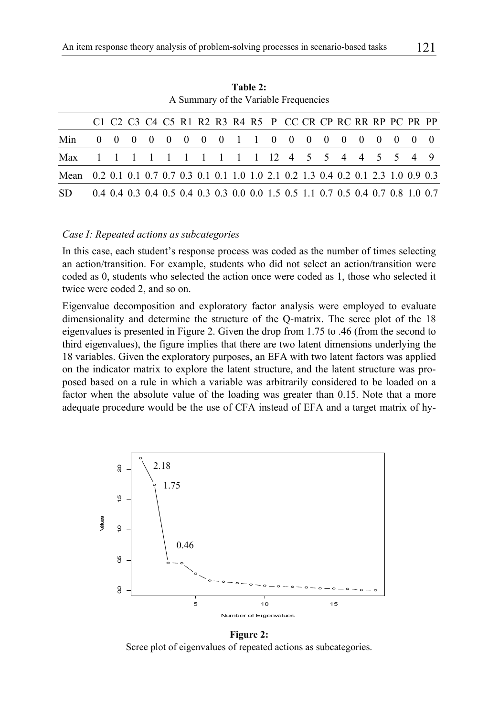|                                                                                      |                                                                                 |  |  |  |  |  | C1 C2 C3 C4 C5 R1 R2 R3 R4 R5 P CC CR CP RC RR RP PC PR PP |  |  |  |  |
|--------------------------------------------------------------------------------------|---------------------------------------------------------------------------------|--|--|--|--|--|------------------------------------------------------------|--|--|--|--|
|                                                                                      |                                                                                 |  |  |  |  |  |                                                            |  |  |  |  |
| Max 1 1 1 1 1 1 1 1 1 1 1 2 4 5 5 4 4 5 5 4 9                                        |                                                                                 |  |  |  |  |  |                                                            |  |  |  |  |
| Mean 0.2 0.1 0.1 0.7 0.7 0.3 0.1 0.1 1.0 1.0 2.1 0.2 1.3 0.4 0.2 0.1 2.3 1.0 0.9 0.3 |                                                                                 |  |  |  |  |  |                                                            |  |  |  |  |
| -SD                                                                                  | 0.4 0.4 0.3 0.4 0.5 0.4 0.3 0.3 0.0 0.0 1.5 0.5 1.1 0.7 0.5 0.4 0.7 0.8 1.0 0.7 |  |  |  |  |  |                                                            |  |  |  |  |

**Table 2:** A Summary of the Variable Frequencies

#### *Case I: Repeated actions as subcategories*

In this case, each student's response process was coded as the number of times selecting an action/transition. For example, students who did not select an action/transition were coded as 0, students who selected the action once were coded as 1, those who selected it twice were coded 2, and so on.

Eigenvalue decomposition and exploratory factor analysis were employed to evaluate dimensionality and determine the structure of the Q-matrix. The scree plot of the 18 eigenvalues is presented in Figure 2. Given the drop from 1.75 to .46 (from the second to third eigenvalues), the figure implies that there are two latent dimensions underlying the 18 variables. Given the exploratory purposes, an EFA with two latent factors was applied on the indicator matrix to explore the latent structure, and the latent structure was proposed based on a rule in which a variable was arbitrarily considered to be loaded on a factor when the absolute value of the loading was greater than 0.15. Note that a more adequate procedure would be the use of CFA instead of EFA and a target matrix of hy-



**Figure 2:**  Scree plot of eigenvalues of repeated actions as subcategories.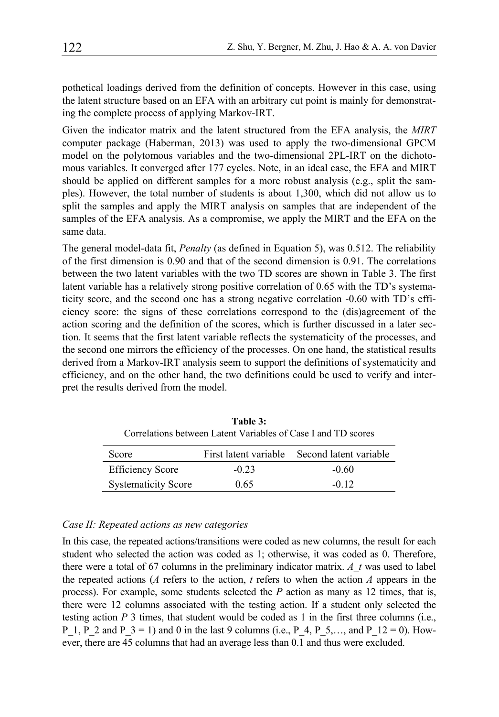pothetical loadings derived from the definition of concepts. However in this case, using the latent structure based on an EFA with an arbitrary cut point is mainly for demonstrating the complete process of applying Markov-IRT.

Given the indicator matrix and the latent structured from the EFA analysis, the *MIRT* computer package (Haberman, 2013) was used to apply the two-dimensional GPCM model on the polytomous variables and the two-dimensional 2PL-IRT on the dichotomous variables. It converged after 177 cycles. Note, in an ideal case, the EFA and MIRT should be applied on different samples for a more robust analysis (e.g., split the samples). However, the total number of students is about 1,300, which did not allow us to split the samples and apply the MIRT analysis on samples that are independent of the samples of the EFA analysis. As a compromise, we apply the MIRT and the EFA on the same data.

The general model-data fit, *Penalty* (as defined in Equation 5), was 0.512. The reliability of the first dimension is 0.90 and that of the second dimension is 0.91. The correlations between the two latent variables with the two TD scores are shown in Table 3. The first latent variable has a relatively strong positive correlation of 0.65 with the TD's systematicity score, and the second one has a strong negative correlation -0.60 with TD's efficiency score: the signs of these correlations correspond to the (dis)agreement of the action scoring and the definition of the scores, which is further discussed in a later section. It seems that the first latent variable reflects the systematicity of the processes, and the second one mirrors the efficiency of the processes. On one hand, the statistical results derived from a Markov-IRT analysis seem to support the definitions of systematicity and efficiency, and on the other hand, the two definitions could be used to verify and interpret the results derived from the model.

| Score                      |         | First latent variable Second latent variable |
|----------------------------|---------|----------------------------------------------|
| <b>Efficiency Score</b>    | $-0.23$ | $-0.60$                                      |
| <b>Systematicity Score</b> | 0.65    | $-0.12$                                      |

**Table 3:**  Correlations between Latent Variables of Case I and TD scores

#### *Case II: Repeated actions as new categories*

In this case, the repeated actions/transitions were coded as new columns, the result for each student who selected the action was coded as 1; otherwise, it was coded as 0. Therefore, there were a total of 67 columns in the preliminary indicator matrix. *A\_t* was used to label the repeated actions (*A* refers to the action, *t* refers to when the action *A* appears in the process). For example, some students selected the *P* action as many as 12 times, that is, there were 12 columns associated with the testing action. If a student only selected the testing action *P* 3 times, that student would be coded as 1 in the first three columns (i.e., P\_1, P\_2 and P\_3 = 1) and 0 in the last 9 columns (i.e., P\_4, P\_5,..., and P\_12 = 0). However, there are 45 columns that had an average less than 0.1 and thus were excluded.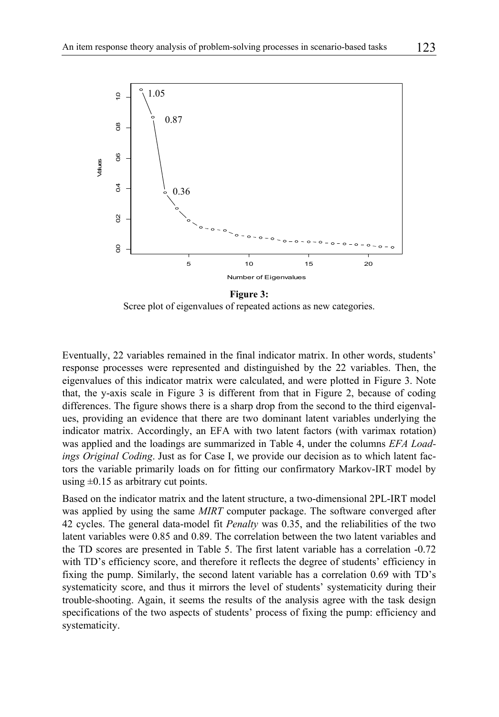

**Figure 3:**  Scree plot of eigenvalues of repeated actions as new categories.

Eventually, 22 variables remained in the final indicator matrix. In other words, students' response processes were represented and distinguished by the 22 variables. Then, the eigenvalues of this indicator matrix were calculated, and were plotted in Figure 3. Note that, the y-axis scale in Figure 3 is different from that in Figure 2, because of coding differences. The figure shows there is a sharp drop from the second to the third eigenvalues, providing an evidence that there are two dominant latent variables underlying the indicator matrix. Accordingly, an EFA with two latent factors (with varimax rotation) was applied and the loadings are summarized in Table 4, under the columns *EFA Loadings Original Coding*. Just as for Case I, we provide our decision as to which latent factors the variable primarily loads on for fitting our confirmatory Markov-IRT model by using  $\pm 0.15$  as arbitrary cut points.

Based on the indicator matrix and the latent structure, a two-dimensional 2PL-IRT model was applied by using the same *MIRT* computer package. The software converged after 42 cycles. The general data-model fit *Penalty* was 0.35, and the reliabilities of the two latent variables were 0.85 and 0.89. The correlation between the two latent variables and the TD scores are presented in Table 5. The first latent variable has a correlation -0.72 with TD's efficiency score, and therefore it reflects the degree of students' efficiency in fixing the pump. Similarly, the second latent variable has a correlation 0.69 with TD's systematicity score, and thus it mirrors the level of students' systematicity during their trouble-shooting. Again, it seems the results of the analysis agree with the task design specifications of the two aspects of students' process of fixing the pump: efficiency and systematicity.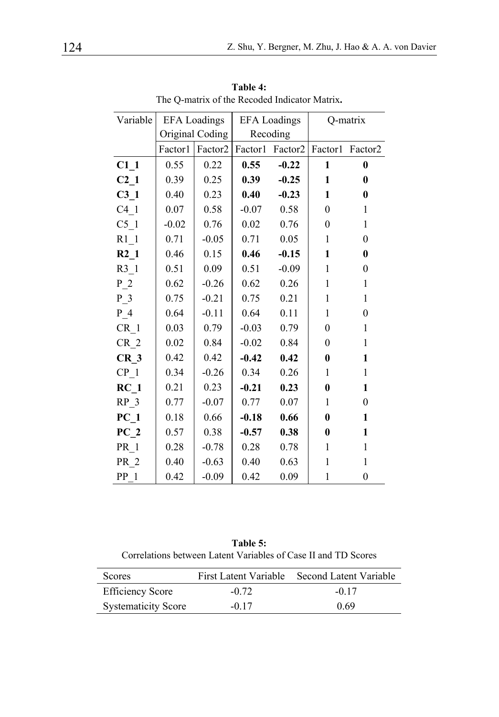| Table 4:<br>The O-matrix of the Recoded Indicator Matrix. |         |                     |         |                     |                 |   |  |  |  |
|-----------------------------------------------------------|---------|---------------------|---------|---------------------|-----------------|---|--|--|--|
| Variable                                                  |         | <b>EFA</b> Loadings |         | <b>EFA</b> Loadings | O-matrix        |   |  |  |  |
|                                                           |         | Original Coding     |         | Recoding            |                 |   |  |  |  |
|                                                           | Factor1 | Factor <sub>2</sub> |         | Factor1 Factor2     | Factor1 Factor2 |   |  |  |  |
| C1 1                                                      | 0.55    | 0.22                | 0.55    | $-0.22$             | 1               | 0 |  |  |  |
| C2 1                                                      | 0.39    | 0.25                | 0.39    | $-0.25$             | 1               | 0 |  |  |  |
| C31                                                       | 0.40    | 0.23                | 0.40    | $-0.23$             | 1               | 0 |  |  |  |
| C4 1                                                      | 0.07    | 0.58                | $-0.07$ | 0.58                | $_{0}$          |   |  |  |  |
| C51                                                       | $-0.02$ | 0.76                | 0.02    | 0.76                |                 |   |  |  |  |
| R1 1                                                      | 0.71    | $-0.05$             | 0.71    | 0.05                |                 | 0 |  |  |  |
| R2 1                                                      | 0.46    | 0.15                | 0.46    | $-0.15$             |                 |   |  |  |  |
|                                                           |         |                     |         |                     |                 |   |  |  |  |

R3\_1 |  $0.51$  |  $0.09$  |  $0.51$  -0.09 | 1 0  $P_2$  | 0.62 | -0.26 | 0.62 0.26 | 1 1  $P_3$  | 0.75 | -0.21 | 0.75 0.21 | 1 1  $P_4$  0.64 -0.11 0.64 0.11 1 0  $CR_1$  0.03 0.79 -0.03 0.79 0 1  $CR_2$  0.02 0.84 -0.02 0.84 0 1 **CR** 3  $\begin{array}{|c|c|c|c|c|c|c|c|} \hline 0.42 & 0.42 & 0.42 & 0.42 & 0 & 1 \hline \end{array}$  $CP_1$  | 0.34 | -0.26 | 0.34 0.26 | 1 1 **RC** 1 | 0.21 | 0.23 | -0.21 0.23 | 0 1  $RP_3$  0.77 -0.07 0.77 0.07 1 0

**PC** 1 | 0.18 | 0.66 | **-0.18** 0.66 | 0 1 **PC\_2**  $\begin{array}{|c|c|c|c|c|c|c|c|} \hline 0.57 & 0.38 & -0.57 & 0.38 & 0 & 1 \ \hline \end{array}$ PR<sub>1</sub> 0.28 -0.78 0.28 0.78 1 1 PR\_2 0.40 -0.63 0.40 0.63 1 1 PP<sub>\_1</sub> |  $0.42$  |  $-0.09$  |  $0.42$  0.09 | 1 0

**Table 5:**  Correlations between Latent Variables of Case II and TD Scores

| Scores                     |         | First Latent Variable Second Latent Variable |
|----------------------------|---------|----------------------------------------------|
| <b>Efficiency Score</b>    | $-0.72$ | $-0.17$                                      |
| <b>Systematicity Score</b> | $-0.17$ | 0.69                                         |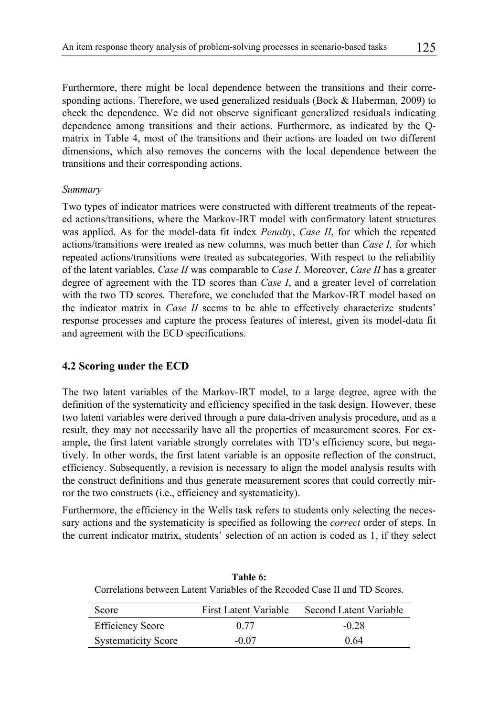Furthermore, there might be local dependence between the transitions and their corresponding actions. Therefore, we used generalized residuals (Bock & Haberman, 2009) to check the dependence. We did not observe significant generalized residuals indicating dependence among transitions and their actions. Furthermore, as indicated by the Qmatrix in Table 4, most of the transitions and their actions are loaded on two different dimensions, which also removes the concerns with the local dependence between the transitions and their corresponding actions.

## *Summary*

Two types of indicator matrices were constructed with different treatments of the repeated actions/transitions, where the Markov-IRT model with confirmatory latent structures was applied. As for the model-data fit index *Penalty*, *Case II*, for which the repeated actions/transitions were treated as new columns, was much better than *Case I,* for which repeated actions/transitions were treated as subcategories. With respect to the reliability of the latent variables, *Case II* was comparable to *Case I*. Moreover, *Case II* has a greater degree of agreement with the TD scores than *Case I*, and a greater level of correlation with the two TD scores. Therefore, we concluded that the Markov-IRT model based on the indicator matrix in *Case II* seems to be able to effectively characterize students' response processes and capture the process features of interest, given its model-data fit and agreement with the ECD specifications.

## **4.2 Scoring under the ECD**

The two latent variables of the Markov-IRT model, to a large degree, agree with the definition of the systematicity and efficiency specified in the task design. However, these two latent variables were derived through a pure data-driven analysis procedure, and as a result, they may not necessarily have all the properties of measurement scores. For example, the first latent variable strongly correlates with TD's efficiency score, but negatively. In other words, the first latent variable is an opposite reflection of the construct, efficiency. Subsequently, a revision is necessary to align the model analysis results with the construct definitions and thus generate measurement scores that could correctly mirror the two constructs (i.e., efficiency and systematicity).

Furthermore, the efficiency in the Wells task refers to students only selecting the necessary actions and the systematicity is specified as following the *correct* order of steps. In the current indicator matrix, students' selection of an action is coded as 1, if they select

**Table 6:**  Correlations between Latent Variables of the Recoded Case II and TD Scores.

| Score                      | <b>First Latent Variable</b> | Second Latent Variable |
|----------------------------|------------------------------|------------------------|
| <b>Efficiency Score</b>    | 0.77                         | $-0.28$                |
| <b>Systematicity Score</b> | $-0.07$                      | 0.64                   |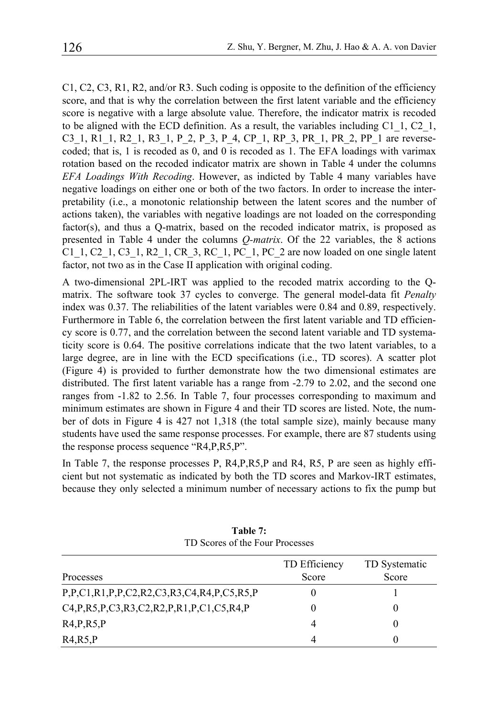C1, C2, C3, R1, R2, and/or R3. Such coding is opposite to the definition of the efficiency score, and that is why the correlation between the first latent variable and the efficiency score is negative with a large absolute value. Therefore, the indicator matrix is recoded to be aligned with the ECD definition. As a result, the variables including C1\_1, C2\_1, C3\_1, R1\_1, R2\_1, R3\_1, P\_2, P\_3, P\_4, CP\_1, RP\_3, PR\_1, PR\_2, PP\_1 are reversecoded; that is, 1 is recoded as 0, and 0 is recoded as 1. The EFA loadings with varimax rotation based on the recoded indicator matrix are shown in Table 4 under the columns *EFA Loadings With Recoding*. However, as indicted by Table 4 many variables have negative loadings on either one or both of the two factors. In order to increase the interpretability (i.e., a monotonic relationship between the latent scores and the number of actions taken), the variables with negative loadings are not loaded on the corresponding factor(s), and thus a Q-matrix, based on the recoded indicator matrix, is proposed as presented in Table 4 under the columns *Q-matrix*. Of the 22 variables, the 8 actions C1\_1, C2\_1, C3\_1, R2\_1, CR\_3, RC\_1, PC\_1, PC\_2 are now loaded on one single latent factor, not two as in the Case II application with original coding.

A two-dimensional 2PL-IRT was applied to the recoded matrix according to the Qmatrix. The software took 37 cycles to converge. The general model-data fit *Penalty* index was 0.37. The reliabilities of the latent variables were 0.84 and 0.89, respectively. Furthermore in Table 6, the correlation between the first latent variable and TD efficiency score is 0.77, and the correlation between the second latent variable and TD systematicity score is 0.64. The positive correlations indicate that the two latent variables, to a large degree, are in line with the ECD specifications (i.e., TD scores). A scatter plot (Figure 4) is provided to further demonstrate how the two dimensional estimates are distributed. The first latent variable has a range from -2.79 to 2.02, and the second one ranges from -1.82 to 2.56. In Table 7, four processes corresponding to maximum and minimum estimates are shown in Figure 4 and their TD scores are listed. Note, the number of dots in Figure 4 is 427 not 1,318 (the total sample size), mainly because many students have used the same response processes. For example, there are 87 students using the response process sequence "R4,P,R5,P".

In Table 7, the response processes P, R4,P,R5,P and R4, R5, P are seen as highly efficient but not systematic as indicated by both the TD scores and Markov-IRT estimates, because they only selected a minimum number of necessary actions to fix the pump but

| Processes                                                  | TD Efficiency<br>Score | TD Systematic<br>Score |
|------------------------------------------------------------|------------------------|------------------------|
| $P, P, C1, R1, P, P, C2, R2, C3, R3, C4, R4, P, C5, R5, P$ |                        |                        |
| $C4, P, R5, P, C3, R3, C2, R2, P, R1, P, C1, C5, R4, P$    |                        |                        |
| R4, P, R5, P                                               | 4                      |                        |
| R4, R5, P                                                  |                        |                        |

**Table 7:**  TD Scores of the Four Processes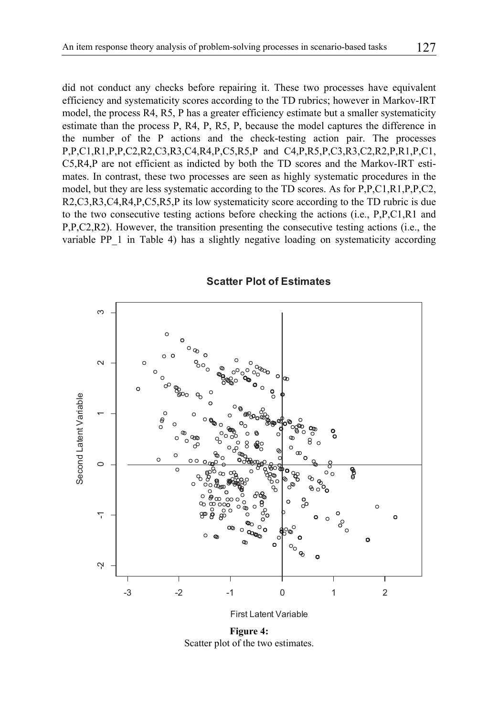did not conduct any checks before repairing it. These two processes have equivalent efficiency and systematicity scores according to the TD rubrics; however in Markov-IRT model, the process R4, R5, P has a greater efficiency estimate but a smaller systematicity estimate than the process P, R4, P, R5, P, because the model captures the difference in the number of the P actions and the check-testing action pair. The processes P,P,C1,R1,P,P,C2,R2,C3,R3,C4,R4,P,C5,R5,P and C4,P,R5,P,C3,R3,C2,R2,P,R1,P,C1, C5,R4,P are not efficient as indicted by both the TD scores and the Markov-IRT estimates. In contrast, these two processes are seen as highly systematic procedures in the model, but they are less systematic according to the TD scores. As for P,P,C1,R1,P,P,C2, R2,C3,R3,C4,R4,P,C5,R5,P its low systematicity score according to the TD rubric is due to the two consecutive testing actions before checking the actions (i.e., P,P,C1,R1 and P,P,C2,R2). However, the transition presenting the consecutive testing actions (i.e., the variable PP\_1 in Table 4) has a slightly negative loading on systematicity according



First Latent Variable

**Figure 4:**  Scatter plot of the two estimates.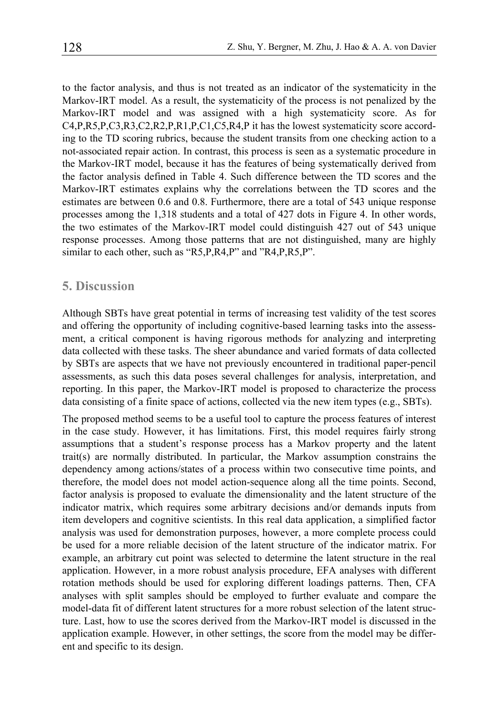to the factor analysis, and thus is not treated as an indicator of the systematicity in the Markov-IRT model. As a result, the systematicity of the process is not penalized by the Markov-IRT model and was assigned with a high systematicity score. As for C4,P,R5,P,C3,R3,C2,R2,P,R1,P,C1,C5,R4,P it has the lowest systematicity score according to the TD scoring rubrics, because the student transits from one checking action to a not-associated repair action. In contrast, this process is seen as a systematic procedure in the Markov-IRT model, because it has the features of being systematically derived from the factor analysis defined in Table 4. Such difference between the TD scores and the Markov-IRT estimates explains why the correlations between the TD scores and the estimates are between 0.6 and 0.8. Furthermore, there are a total of 543 unique response processes among the 1,318 students and a total of 427 dots in Figure 4. In other words, the two estimates of the Markov-IRT model could distinguish 427 out of 543 unique response processes. Among those patterns that are not distinguished, many are highly similar to each other, such as "R5,P,R4,P" and "R4,P,R5,P".

## **5. Discussion**

Although SBTs have great potential in terms of increasing test validity of the test scores and offering the opportunity of including cognitive-based learning tasks into the assessment, a critical component is having rigorous methods for analyzing and interpreting data collected with these tasks. The sheer abundance and varied formats of data collected by SBTs are aspects that we have not previously encountered in traditional paper-pencil assessments, as such this data poses several challenges for analysis, interpretation, and reporting. In this paper, the Markov-IRT model is proposed to characterize the process data consisting of a finite space of actions, collected via the new item types (e.g., SBTs).

The proposed method seems to be a useful tool to capture the process features of interest in the case study. However, it has limitations. First, this model requires fairly strong assumptions that a student's response process has a Markov property and the latent trait(s) are normally distributed. In particular, the Markov assumption constrains the dependency among actions/states of a process within two consecutive time points, and therefore, the model does not model action-sequence along all the time points. Second, factor analysis is proposed to evaluate the dimensionality and the latent structure of the indicator matrix, which requires some arbitrary decisions and/or demands inputs from item developers and cognitive scientists. In this real data application, a simplified factor analysis was used for demonstration purposes, however, a more complete process could be used for a more reliable decision of the latent structure of the indicator matrix. For example, an arbitrary cut point was selected to determine the latent structure in the real application. However, in a more robust analysis procedure, EFA analyses with different rotation methods should be used for exploring different loadings patterns. Then, CFA analyses with split samples should be employed to further evaluate and compare the model-data fit of different latent structures for a more robust selection of the latent structure. Last, how to use the scores derived from the Markov-IRT model is discussed in the application example. However, in other settings, the score from the model may be different and specific to its design.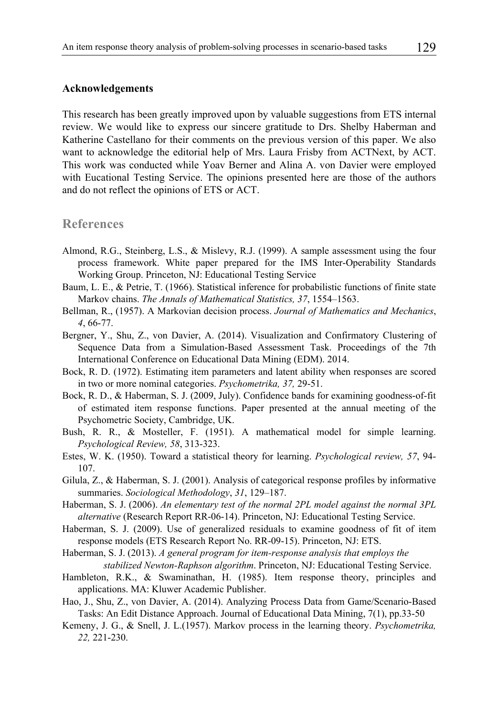#### **Acknowledgements**

This research has been greatly improved upon by valuable suggestions from ETS internal review. We would like to express our sincere gratitude to Drs. Shelby Haberman and Katherine Castellano for their comments on the previous version of this paper. We also want to acknowledge the editorial help of Mrs. Laura Frisby from ACTNext, by ACT. This work was conducted while Yoav Berner and Alina A. von Davier were employed with Eucational Testing Service. The opinions presented here are those of the authors and do not reflect the opinions of ETS or ACT.

## **References**

- Almond, R.G., Steinberg, L.S., & Mislevy, R.J. (1999). A sample assessment using the four process framework. White paper prepared for the IMS Inter-Operability Standards Working Group. Princeton, NJ: Educational Testing Service
- Baum, L. E., & Petrie, T. (1966). Statistical inference for probabilistic functions of finite state Markov chains. *The Annals of Mathematical Statistics, 37*, 1554–1563.
- Bellman, R., (1957). A Markovian decision process. *Journal of Mathematics and Mechanics*, *4*, 66-77.
- Bergner, Y., Shu, Z., von Davier, A. (2014). Visualization and Confirmatory Clustering of Sequence Data from a Simulation-Based Assessment Task. Proceedings of the 7th International Conference on Educational Data Mining (EDM). 2014.
- Bock, R. D. (1972). Estimating item parameters and latent ability when responses are scored in two or more nominal categories. *Psychometrika, 37,* 29-51.
- Bock, R. D., & Haberman, S. J. (2009, July). Confidence bands for examining goodness-of-fit of estimated item response functions. Paper presented at the annual meeting of the Psychometric Society, Cambridge, UK.
- Bush, R. R., & Mosteller, F. (1951). A mathematical model for simple learning. *Psychological Review, 58*, 313-323.
- Estes, W. K. (1950). Toward a statistical theory for learning. *Psychological review, 57*, 94- 107.
- Gilula, Z., & Haberman, S. J. (2001). Analysis of categorical response profiles by informative summaries. *Sociological Methodology*, *31*, 129–187.
- Haberman, S. J. (2006). *An elementary test of the normal 2PL model against the normal 3PL alternative* (Research Report RR-06-14). Princeton, NJ: Educational Testing Service.
- Haberman, S. J. (2009). Use of generalized residuals to examine goodness of fit of item response models (ETS Research Report No. RR-09-15). Princeton, NJ: ETS.
- Haberman, S. J. (2013). *A general program for item-response analysis that employs the stabilized Newton-Raphson algorithm*. Princeton, NJ: Educational Testing Service.
- Hambleton, R.K., & Swaminathan, H. (1985). Item response theory, principles and applications. MA: Kluwer Academic Publisher.
- Hao, J., Shu, Z., von Davier, A. (2014). Analyzing Process Data from Game/Scenario-Based Tasks: An Edit Distance Approach. Journal of Educational Data Mining, 7(1), pp.33-50
- Kemeny, J. G., & Snell, J. L.(1957). Markov process in the learning theory. *Psychometrika, 22,* 221-230.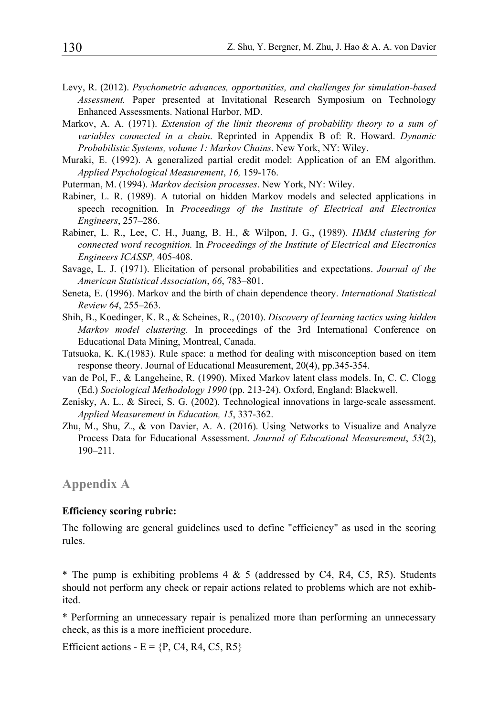- Levy, R. (2012). *Psychometric advances, opportunities, and challenges for simulation-based Assessment.* Paper presented at Invitational Research Symposium on Technology Enhanced Assessments. National Harbor, MD.
- Markov, A. A. (1971). *Extension of the limit theorems of probability theory to a sum of variables connected in a chain*. Reprinted in Appendix B of: R. Howard. *Dynamic Probabilistic Systems, volume 1: Markov Chains*. New York, NY: Wiley.
- Muraki, E. (1992). A generalized partial credit model: Application of an EM algorithm. *Applied Psychological Measurement*, *16,* 159-176.
- Puterman, M. (1994). *Markov decision processes*. New York, NY: Wiley.
- Rabiner, L. R. (1989). A tutorial on hidden Markov models and selected applications in speech recognition*.* In *Proceedings of the Institute of Electrical and Electronics Engineers*, 257–286.
- Rabiner, L. R., Lee, C. H., Juang, B. H., & Wilpon, J. G., (1989). *HMM clustering for connected word recognition.* In *Proceedings of the Institute of Electrical and Electronics Engineers ICASSP,* 405-408.
- Savage, L. J. (1971). Elicitation of personal probabilities and expectations. *Journal of the American Statistical Association*, *66*, 783–801.
- Seneta, E. (1996). Markov and the birth of chain dependence theory. *International Statistical Review 64*, 255–263.
- Shih, B., Koedinger, K. R., & Scheines, R., (2010). *Discovery of learning tactics using hidden Markov model clustering.* In proceedings of the 3rd International Conference on Educational Data Mining, Montreal, Canada.
- Tatsuoka, K. K.(1983). Rule space: a method for dealing with misconception based on item response theory. Journal of Educational Measurement, 20(4), pp.345-354.
- van de Pol, F., & Langeheine, R. (1990). Mixed Markov latent class models. In, C. C. Clogg (Ed.) *Sociological Methodology 1990* (pp. 213-24). Oxford, England: Blackwell.
- Zenisky, A. L., & Sireci, S. G. (2002). Technological innovations in large-scale assessment. *Applied Measurement in Education, 15*, 337-362.
- Zhu, M., Shu, Z., & von Davier, A. A. (2016). Using Networks to Visualize and Analyze Process Data for Educational Assessment. *Journal of Educational Measurement*, *53*(2), 190–211.

## **Appendix A**

#### **Efficiency scoring rubric:**

The following are general guidelines used to define "efficiency" as used in the scoring rules.

\* The pump is exhibiting problems 4  $\&$  5 (addressed by C4, R4, C5, R5). Students should not perform any check or repair actions related to problems which are not exhibited.

\* Performing an unnecessary repair is penalized more than performing an unnecessary check, as this is a more inefficient procedure.

Efficient actions -  $E = \{P, C4, R4, C5, R5\}$